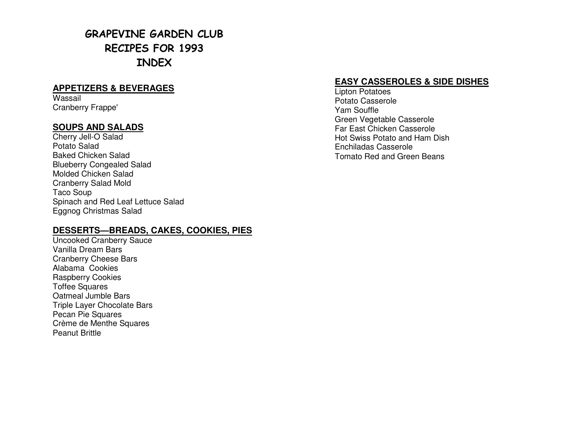# GRAPEVINE GARDEN CLUB RECIPES FOR 1993 INDEX

#### **APPETIZERS & BEVERAGES**

Wassail Cranberry Frappe'

#### **SOUPS AND SALADS**

Cherry Jell-O Salad Potato Salad Baked Chicken Salad Blueberry Congealed Salad Molded Chicken Salad Cranberry Salad Mold Taco Soup Spinach and Red Leaf Lettuce Salad Eggnog Christmas Salad

#### **DESSERTS—BREADS, CAKES, COOKIES, PIES**

Uncooked Cranberry Sauce Vanilla Dream Bars Cranberry Cheese Bars Alabama Cookies Raspberry Cookies Toffee Squares Oatmeal Jumble Bars Triple Layer Chocolate Bars Pecan Pie Squares Crème de Menthe Squares Peanut Brittle

#### **EASY CASSEROLES & SIDE DISHES**

Lipton Potatoes Potato Casserole Yam Souffle Green Vegetable Casserole Far East Chicken Casserole Hot Swiss Potato and Ham Dish Enchiladas Casserole Tomato Red and Green Beans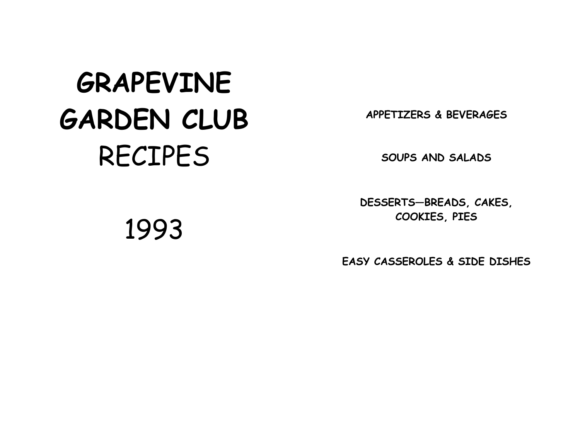# GRAPEVINE GARDEN CLUB RECIPES

APPETIZERS & BEVERAGES

SOUPS AND SALADS

DESSERTS—BREADS, CAKES, COOKIES, PIES

EASY CASSEROLES & SIDE DISHES

1993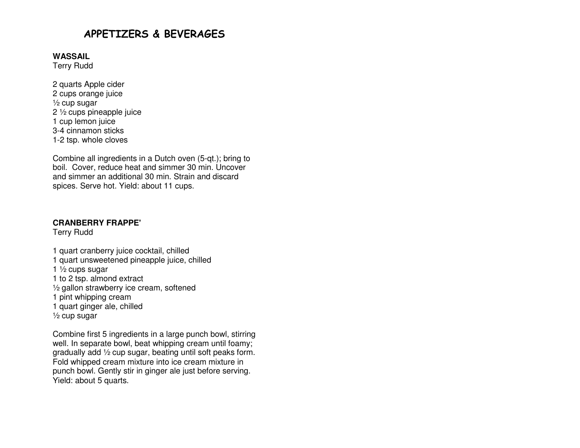## APPETIZERS & BEVERAGES

#### **WASSAIL**

Terry Rudd

2 quarts Apple cider 2 cups orange juice ½ cup sugar 2 ½ cups pineapple juice 1 cup lemon juice 3-4 cinnamon sticks 1-2 tsp. whole cloves

Combine all ingredients in a Dutch oven (5-qt.); bring to boil. Cover, reduce heat and simmer 30 min. Uncover and simmer an additional 30 min. Strain and discardspices. Serve hot. Yield: about 11 cups.

#### **CRANBERRY FRAPPE'**

Terry Rudd

- 1 quart cranberry juice cocktail, chilled 1 quart unsweetened pineapple juice, chilled
- 1  $\frac{1}{2}$  cups sugar
- 1 to 2 tsp. almond extract
- ½ gallon strawberry ice cream, softened
- 1 pint whipping cream
- 1 quart ginger ale, chilled
- ½ cup sugar

Combine first 5 ingredients in a large punch bowl, stirring well. In separate bowl, beat whipping cream until foamy; gradually add ½ cup sugar, beating until soft peaks form. Fold whipped cream mixture into ice cream mixture in punch bowl. Gently stir in ginger ale just before serving. Yield: about 5 quarts.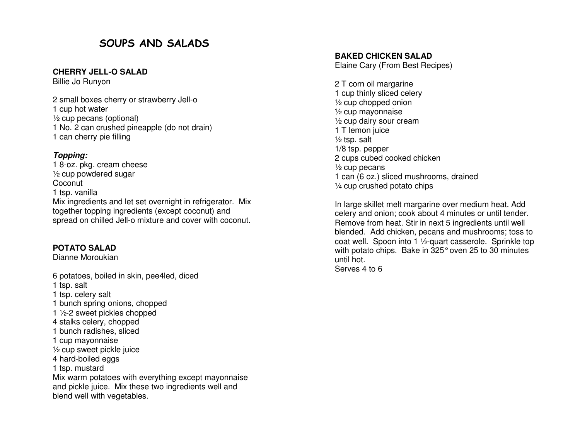## SOUPS AND SALADS

#### **CHERRY JELL-O SALAD**

Billie Jo Runyon

2 small boxes cherry or strawberry Jell-o 1 cup hot water ½ cup pecans (optional) 1 No. 2 can crushed pineapple (do not drain) 1 can cherry pie filling

#### **Topping:**

 1 8-oz. pkg. cream cheese ½ cup powdered sugar **Coconut**  1 tsp. vanilla Mix ingredients and let set overnight in refrigerator. Mix together topping ingredients (except coconut) and spread on chilled Jell-o mixture and cover with coconut.

#### **POTATO SALAD**

Dianne Moroukian

6 potatoes, boiled in skin, pee4led, diced 1 tsp. salt 1 tsp. celery salt 1 bunch spring onions, chopped 1 ½-2 sweet pickles chopped 4 stalks celery, chopped 1 bunch radishes, sliced 1 cup mayonnaise ½ cup sweet pickle juice 4 hard-boiled eggs 1 tsp. mustard Mix warm potatoes with everything except mayonnaiseand pickle juice. Mix these two ingredients well and blend well with vegetables.

#### **BAKED CHICKEN SALAD**

Elaine Cary (From Best Recipes)

2 T corn oil margarine 1 cup thinly sliced celery ½ cup chopped onion ½ cup mayonnaise ½ cup dairy sour cream 1 T lemon juice ½ tsp. salt 1/8 tsp. pepper 2 cups cubed cooked chicken ½ cup pecans 1 can (6 oz.) sliced mushrooms, drained ¼ cup crushed potato chips

In large skillet melt margarine over medium heat. Add celery and onion; cook about 4 minutes or until tender. Remove from heat. Stir in next 5 ingredients until well blended. Add chicken, pecans and mushrooms; toss to coat well. Spoon into 1 ½-quart casserole. Sprinkle top with potato chips. Bake in 325° oven 25 to 30 minutes until hot. Serves 4 to 6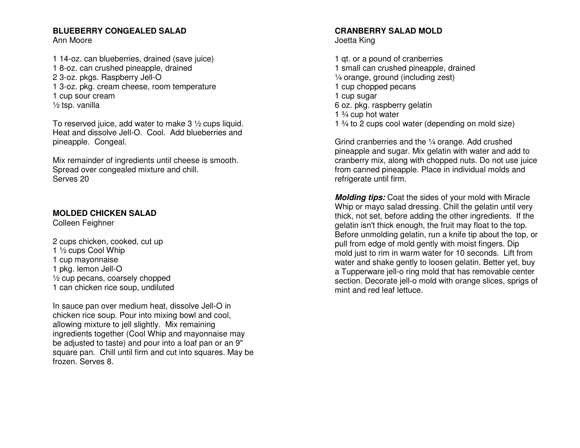#### **BLUEBERRY CONGEALED SALAD** Ann Moore

1 14-oz. can blueberries, drained (save juice) 1 8-oz. can crushed pineapple, drained 2 3-oz. pkgs. Raspberry Jell-O 1 3-oz. pkg. cream cheese, room temperature 1 cup sour cream ½ tsp. vanilla

To reserved juice, add water to make 3 ½ cups liquid. Heat and dissolve Jell-O. Cool. Add blueberries and pineapple. Congeal.

Mix remainder of ingredients until cheese is smooth. Spread over congealed mixture and chill. Serves 20

#### **MOLDED CHICKEN SALAD**

Colleen Feighner

2 cups chicken, cooked, cut up 1 ½ cups Cool Whip 1 cup mayonnaise 1 pkg. lemon Jell-O ½ cup pecans, coarsely chopped 1 can chicken rice soup, undiluted

In sauce pan over medium heat, dissolve Jell-O in chicken rice soup. Pour into mixing bowl and cool, allowing mixture to jell slightly. Mix remaining ingredients together (Cool Whip and mayonnaise may be adjusted to taste) and pour into a loaf pan or an 9" square pan. Chill until firm and cut into squares. May be frozen. Serves 8.

#### **CRANBERRY SALAD MOLD** Joetta King

1 qt. or a pound of cranberries 1 small can crushed pineapple, drained ¼ orange, ground (including zest) 1 cup chopped pecans 1 cup sugar 6 oz. pkg. raspberry gelatin 1  $\frac{3}{4}$  cup hot water 1 ¾ to 2 cups cool water (depending on mold size)

Grind cranberries and the ¼ orange. Add crushed pineapple and sugar. Mix gelatin with water and add to cranberry mix, along with chopped nuts. Do not use juice from canned pineapple. Place in individual molds and refrigerate until firm.

**Molding tips:** Coat the sides of your mold with Miracle Whip or mayo salad dressing. Chill the gelatin until very thick, not set, before adding the other ingredients. If the gelatin isn't thick enough, the fruit may float to the top. Before unmolding gelatin, run a knife tip about the top, or pull from edge of mold gently with moist fingers. Dip mold just to rim in warm water for 10 seconds. Lift from water and shake gently to loosen gelatin. Better yet, buy a Tupperware jell-o ring mold that has removable center section. Decorate jell-o mold with orange slices, sprigs of mint and red leaf lettuce.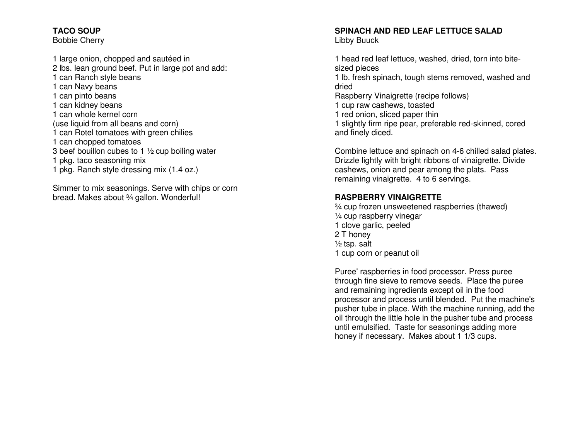#### **TACO SOUP**

Bobbie Cherry

1 large onion, chopped and sautéed in 2 lbs. lean ground beef. Put in large pot and add: 1 can Ranch style beans 1 can Navy beans 1 can pinto beans 1 can kidney beans 1 can whole kernel corn (use liquid from all beans and corn) 1 can Rotel tomatoes with green chilies 1 can chopped tomatoes 3 beef bouillon cubes to 1  $\frac{1}{2}$  cup boiling water 1 pkg. taco seasoning mix 1 pkg. Ranch style dressing mix (1.4 oz.)

Simmer to mix seasonings. Serve with chips or corn bread. Makes about 3/4 gallon. Wonderful!

#### **SPINACH AND RED LEAF LETTUCE SALAD** Libby Buuck

1 head red leaf lettuce, washed, dried, torn into bitesized pieces 1 lb. fresh spinach, tough stems removed, washed and

dried Raspberry Vinaigrette (recipe follows) 1 cup raw cashews, toasted 1 red onion, sliced paper thin 1 slightly firm ripe pear, preferable red-skinned, cored and finely diced.

Combine lettuce and spinach on 4-6 chilled salad plates. Drizzle lightly with bright ribbons of vinaigrette. Divide cashews, onion and pear among the plats. Pass remaining vinaigrette. 4 to 6 servings.

#### **RASPBERRY VINAIGRETTE**

 ¾ cup frozen unsweetened raspberries (thawed) ¼ cup raspberry vinegar 1 clove garlic, peeled 2 T honey ½ tsp. salt 1 cup corn or peanut oil

Puree' raspberries in food processor. Press puree through fine sieve to remove seeds. Place the puree and remaining ingredients except oil in the food processor and process until blended. Put the machine's pusher tube in place. With the machine running, add the oil through the little hole in the pusher tube and process until emulsified. Taste for seasonings adding morehoney if necessary. Makes about 1 1/3 cups.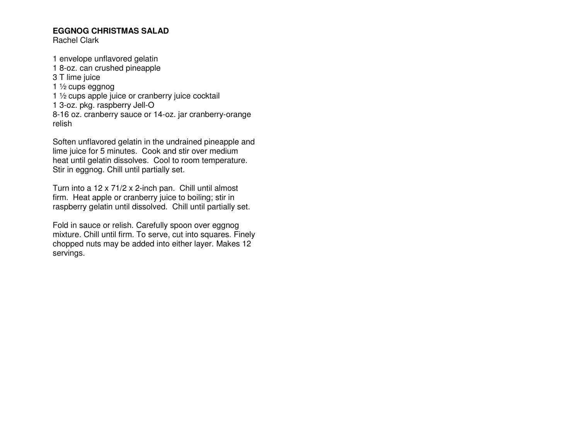#### **EGGNOG CHRISTMAS SALAD**

Rachel Clark

1 envelope unflavored gelatin 1 8-oz. can crushed pineapple 3 T lime juice 1 ½ cups eggnog 1 ½ cups apple juice or cranberry juice cocktail 1 3-oz. pkg. raspberry Jell-O 8-16 oz. cranberry sauce or 14-oz. jar cranberry-orange relish

Soften unflavored gelatin in the undrained pineapple and lime juice for 5 minutes. Cook and stir over medium heat until gelatin dissolves. Cool to room temperature. Stir in eggnog. Chill until partially set.

Turn into a 12 x 71/2 x 2-inch pan. Chill until almost firm. Heat apple or cranberry juice to boiling; stir in raspberry gelatin until dissolved. Chill until partially set.

Fold in sauce or relish. Carefully spoon over eggnog mixture. Chill until firm. To serve, cut into squares. Finely chopped nuts may be added into either layer. Makes 12 servings.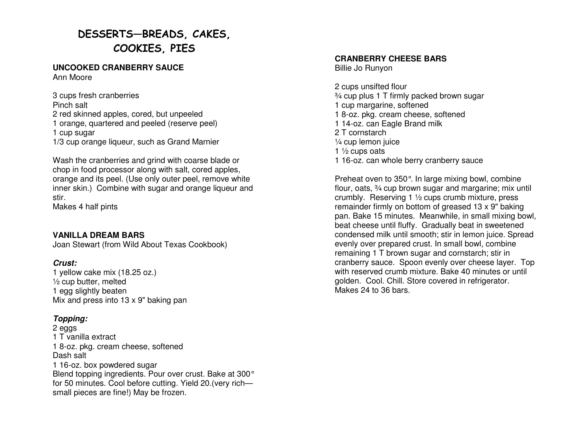# DESSERTS—BREADS, CAKES, COOKIES, PIES

#### **UNCOOKED CRANBERRY SAUCE** Ann Moore

3 cups fresh cranberries Pinch salt 2 red skinned apples, cored, but unpeeled 1 orange, quartered and peeled (reserve peel) 1 cup sugar 1/3 cup orange liqueur, such as Grand Marnier Wash the cranberries and grind with coarse blade or

 chop in food processor along with salt, cored apples, orange and its peel. (Use only outer peel, remove white inner skin.) Combine with sugar and orange liqueur and stir.

Makes 4 half pints

#### **VANILLA DREAM BARS**

Joan Stewart (from Wild About Texas Cookbook)

#### **Crust:**

 1 yellow cake mix (18.25 oz.) ½ cup butter, melted 1 egg slightly beaten Mix and press into 13 x 9" baking pan

#### **Topping:**

2 eggs 1 T vanilla extract 1 8-oz. pkg. cream cheese, softened Dash salt 1 16-oz. box powdered sugar Blend topping ingredients. Pour over crust. Bake at 300° for 50 minutes. Cool before cutting. Yield 20.(very richsmall pieces are fine!) May be frozen.

#### **CRANBERRY CHEESE BARS**

Billie Jo Runyon

2 cups unsifted flour ¾ cup plus 1 T firmly packed brown sugar 1 cup margarine, softened 1 8-oz. pkg. cream cheese, softened 1 14-oz. can Eagle Brand milk 2 T cornstarch ¼ cup lemon juice 1  $\frac{1}{2}$  cups oats 1 16-oz. can whole berry cranberry sauce

Preheat oven to 350°. In large mixing bowl, combine flour, oats, ¾ cup brown sugar and margarine; mix until crumbly. Reserving 1 ½ cups crumb mixture, press remainder firmly on bottom of greased 13 x 9" baking pan. Bake 15 minutes. Meanwhile, in small mixing bowl, beat cheese until fluffy. Gradually beat in sweetened condensed milk until smooth; stir in lemon juice. Spread evenly over prepared crust. In small bowl, combine remaining 1 T brown sugar and cornstarch; stir in cranberry sauce. Spoon evenly over cheese layer. Top with reserved crumb mixture. Bake 40 minutes or until golden. Cool. Chill. Store covered in refrigerator. Makes 24 to 36 bars.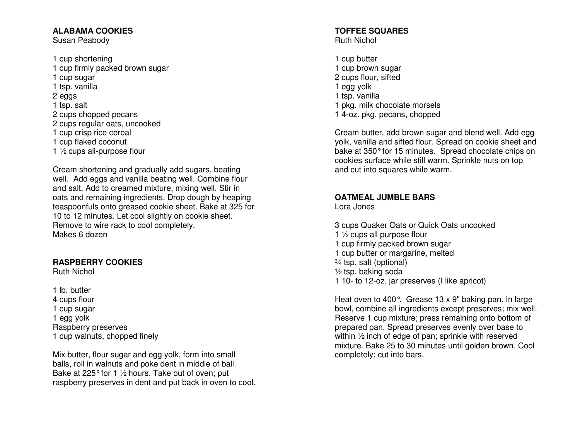#### **ALABAMA COOKIES**

Susan Peabody

1 cup shortening 1 cup firmly packed brown sugar 1 cup sugar 1 tsp. vanilla 2 eggs 1 tsp. salt 2 cups chopped pecans 2 cups regular oats, uncooked 1 cup crisp rice cereal 1 cup flaked coconut 1 ½ cups all-purpose flour

Cream shortening and gradually add sugars, beating well. Add eggs and vanilla beating well. Combine flour and salt. Add to creamed mixture, mixing well. Stir in oats and remaining ingredients. Drop dough by heaping teaspoonfuls onto greased cookie sheet. Bake at 325 for 10 to 12 minutes. Let cool slightly on cookie sheet. Remove to wire rack to cool completely. Makes 6 dozen

#### **RASPBERRY COOKIES**

Ruth Nichol

1 lb. butter 4 cups flour 1 cup sugar 1 egg yolk Raspberry preserves 1 cup walnuts, chopped finely

Mix butter, flour sugar and egg yolk, form into small balls, roll in walnuts and poke dent in middle of ball. Bake at 225° for 1 ½ hours. Take out of oven; put raspberry preserves in dent and put back in oven to cool.

#### **TOFFEE SQUARES** Ruth Nichol

1 cup butter 1 cup brown sugar 2 cups flour, sifted 1 egg yolk 1 tsp. vanilla 1 pkg. milk chocolate morsels 1 4-oz. pkg. pecans, chopped

Cream butter, add brown sugar and blend well. Add egg yolk, vanilla and sifted flour. Spread on cookie sheet and bake at 350° for 15 minutes. Spread chocolate chips on cookies surface while still warm. Sprinkle nuts on top and cut into squares while warm.

#### **OATMEAL JUMBLE BARS**

Lora Jones

3 cups Quaker Oats or Quick Oats uncooked 1 ½ cups all purpose flour 1 cup firmly packed brown sugar 1 cup butter or margarine, melted ¾ tsp. salt (optional) ½ tsp. baking soda 1 10- to 12-oz. jar preserves (I like apricot)

Heat oven to 400°. Grease 13 x 9" baking pan. In large bowl, combine all ingredients except preserves; mix well. Reserve 1 cup mixture; press remaining onto bottom of prepared pan. Spread preserves evenly over base to within ½ inch of edge of pan; sprinkle with reserved mixture. Bake 25 to 30 minutes until golden brown. Cool completely; cut into bars.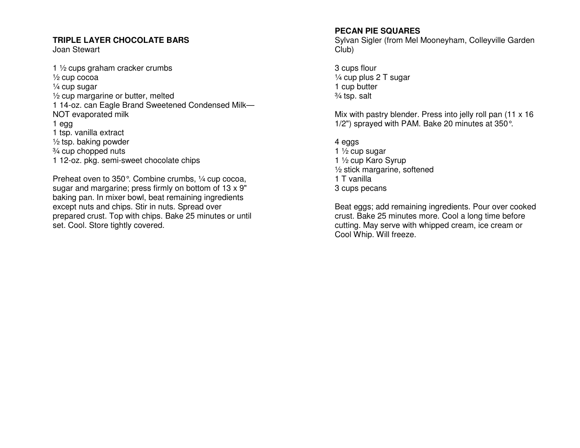#### **TRIPLE LAYER CHOCOLATE BARS**

Joan Stewart

1 ½ cups graham cracker crumbs ½ cup cocoa ¼ cup sugar ½ cup margarine or butter, melted 1 14-oz. can Eagle Brand Sweetened Condensed Milk—NOT evaporated milk 1 egg 1 tsp. vanilla extract ½ tsp. baking powder ¾ cup chopped nuts 1 12-oz. pkg. semi-sweet chocolate chips

Preheat oven to 350°. Combine crumbs, ¼ cup cocoa, sugar and margarine; press firmly on bottom of 13 x 9" baking pan. In mixer bowl, beat remaining ingredients except nuts and chips. Stir in nuts. Spread over prepared crust. Top with chips. Bake 25 minutes or until set. Cool. Store tightly covered.

#### **PECAN PIE SQUARES**

 Sylvan Sigler (from Mel Mooneyham, Colleyville Garden Club)

3 cups flour ¼ cup plus 2 T sugar 1 cup butter ¾ tsp. salt

Mix with pastry blender. Press into jelly roll pan (11 x 16) 1/2") sprayed with PAM. Bake 20 minutes at 350°.

4 eggs 1  $\frac{1}{2}$  cup sugar 1 ½ cup Karo Syrup ½ stick margarine, softened 1 T vanilla 3 cups pecans

Beat eggs; add remaining ingredients. Pour over cooked crust. Bake 25 minutes more. Cool a long time before cutting. May serve with whipped cream, ice cream orCool Whip. Will freeze.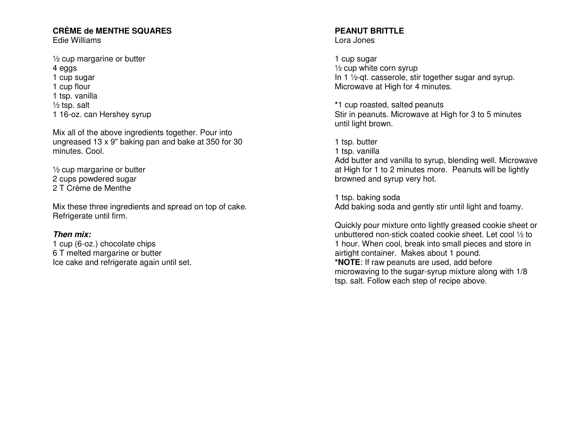# **CRÈME de MENTHE SQUARES**

Edie Williams

½ cup margarine or butter 4 eggs 1 cup sugar 1 cup flour 1 tsp. vanilla ½ tsp. salt 1 16-oz. can Hershey syrup

Mix all of the above ingredients together. Pour into ungreased 13 x 9" baking pan and bake at 350 for 30minutes. Cool.

½ cup margarine or butter 2 cups powdered sugar 2 T Crème de Menthe

Mix these three ingredients and spread on top of cake. Refrigerate until firm.

#### **Then mix:**

 1 cup (6-oz.) chocolate chips 6 T melted margarine or butter Ice cake and refrigerate again until set.

#### **PEANUT BRITTLE** Lora Jones

1 cup sugar ½ cup white corn syrup In 1 ½-qt. casserole, stir together sugar and syrup. Microwave at High for 4 minutes.

**\***1 cup roasted, salted peanuts Stir in peanuts. Microwave at High for 3 to 5 minutes until light brown.

1 tsp. butter 1 tsp. vanilla Add butter and vanilla to syrup, blending well. Microwave at High for 1 to 2 minutes more. Peanuts will be lightly browned and syrup very hot.

1 tsp. baking soda Add baking soda and gently stir until light and foamy.

Quickly pour mixture onto lightly greased cookie sheet or unbuttered non-stick coated cookie sheet. Let cool ½ to 1 hour. When cool, break into small pieces and store in airtight container. Makes about 1 pound. **\*NOTE**: If raw peanuts are used, add before microwaving to the sugar-syrup mixture along with 1/8 tsp. salt. Follow each step of recipe above.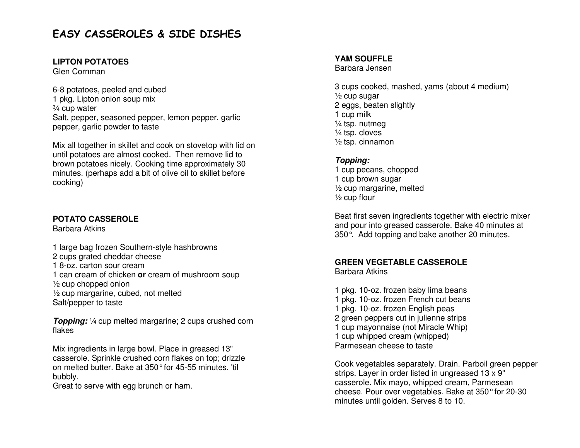## EASY CASSEROLES & SIDE DISHES

#### **LIPTON POTATOES**

Glen Cornman

6-8 potatoes, peeled and cubed 1 pkg. Lipton onion soup mix ¾ cup water Salt, pepper, seasoned pepper, lemon pepper, garlicpepper, garlic powder to taste

Mix all together in skillet and cook on stovetop with lid on until potatoes are almost cooked. Then remove lid to brown potatoes nicely. Cooking time approximately 30 minutes. (perhaps add a bit of olive oil to skillet before cooking)

#### **POTATO CASSEROLE**

Barbara Atkins

1 large bag frozen Southern-style hashbrowns 2 cups grated cheddar cheese 1 8-oz. carton sour cream 1 can cream of chicken **or** cream of mushroom soup ½ cup chopped onion ½ cup margarine, cubed, not melted Salt/pepper to taste

**Topping:** 1/4 cup melted margarine; 2 cups crushed corn flakes

Mix ingredients in large bowl. Place in greased 13" casserole. Sprinkle crushed corn flakes on top; drizzle on melted butter. Bake at 350° for 45-55 minutes, 'til bubbly.

Great to serve with egg brunch or ham.

#### **YAM SOUFFLE**

Barbara Jensen

3 cups cooked, mashed, yams (about 4 medium)  $\frac{1}{2}$  cup sugar 2 eggs, beaten slightly 1 cup milk ¼ tsp. nutmeg ¼ tsp. cloves ½ tsp. cinnamon

#### **Topping:**

 1 cup pecans, chopped 1 cup brown sugar ½ cup margarine, melted  $\frac{1}{2}$  cup flour

Beat first seven ingredients together with electric mixer and pour into greased casserole. Bake 40 minutes at350°. Add topping and bake another 20 minutes.

#### **GREEN VEGETABLE CASSEROLE**

Barbara Atkins

1 pkg. 10-oz. frozen baby lima beans 1 pkg. 10-oz. frozen French cut beans 1 pkg. 10-oz. frozen English peas 2 green peppers cut in julienne strips 1 cup mayonnaise (not Miracle Whip) 1 cup whipped cream (whipped) Parmesean cheese to taste

Cook vegetables separately. Drain. Parboil green pepper strips. Layer in order listed in ungreased 13 x 9" casserole. Mix mayo, whipped cream, Parmesean cheese. Pour over vegetables. Bake at 350° for 20-30 minutes until golden. Serves 8 to 10.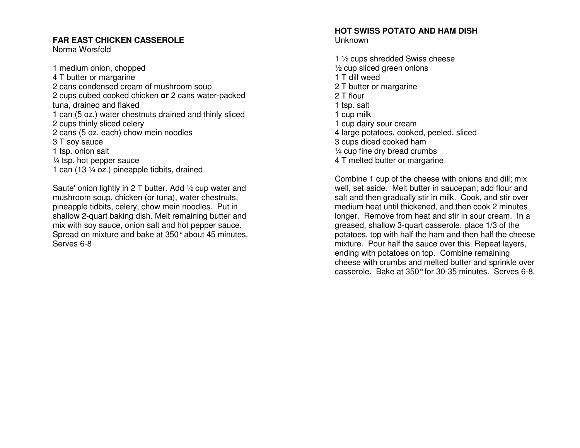#### **FAR EAST CHICKEN CASSEROLE**

Norma Worsfold

1 medium onion, chopped 4 T butter or margarine 2 cans condensed cream of mushroom soup 2 cups cubed cooked chicken **or** 2 cans water-packed tuna, drained and flaked 1 can (5 oz.) water chestnuts drained and thinly sliced 2 cups thinly sliced celery 2 cans (5 oz. each) chow mein noodles 3 T soy sauce 1 tsp. onion salt  $\frac{1}{4}$  tsp. hot pepper sauce 1 can (13 ¼ oz.) pineapple tidbits, drained

Saute' onion lightly in 2 T butter. Add ½ cup water and mushroom soup, chicken (or tuna), water chestnuts, pineapple tidbits, celery, chow mein noodles. Put in shallow 2-quart baking dish. Melt remaining butter and mix with soy sauce, onion salt and hot pepper sauce. Spread on mixture and bake at 350° about 45 minutes. Serves 6-8

#### **HOT SWISS POTATO AND HAM DISH** Unknown

1 ½ cups shredded Swiss cheese ½ cup sliced green onions 1 T dill weed 2 T butter or margarine 2 T flour 1 tsp. salt 1 cup milk 1 cup dairy sour cream 4 large potatoes, cooked, peeled, sliced 3 cups diced cooked ham ¼ cup fine dry bread crumbs 4 T melted butter or margarine

Combine 1 cup of the cheese with onions and dill; mix well, set aside. Melt butter in saucepan; add flour and salt and then gradually stir in milk. Cook, and stir over medium heat until thickened, and then cook 2 minutes longer. Remove from heat and stir in sour cream. In a greased, shallow 3-quart casserole, place 1/3 of the potatoes, top with half the ham and then half the cheese mixture. Pour half the sauce over this. Repeat layers, ending with potatoes on top. Combine remaining cheese with crumbs and melted butter and sprinkle over casserole. Bake at 350° for 30-35 minutes. Serves 6-8.